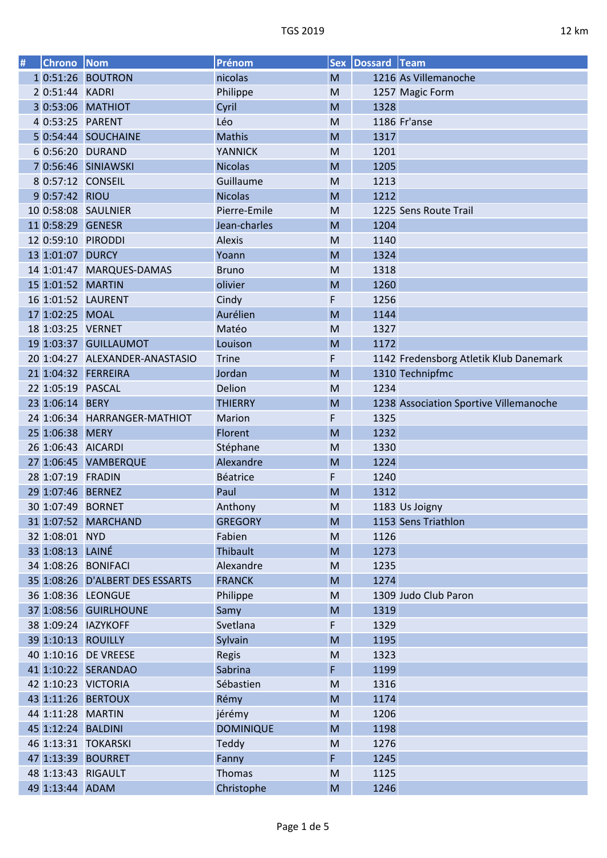| # | Chrono Nom         |                                 | Prénom           |           | Sex Dossard Team |                                        |
|---|--------------------|---------------------------------|------------------|-----------|------------------|----------------------------------------|
|   |                    | 1 0:51:26 BOUTRON               | nicolas          | M         |                  | 1216 As Villemanoche                   |
|   | 2 0:51:44 KADRI    |                                 | Philippe         | M         |                  | 1257 Magic Form                        |
|   |                    | 3 0:53:06 MATHIOT               | Cyril            | M         | 1328             |                                        |
|   | 4 0:53:25 PARENT   |                                 | Léo              | M         |                  | 1186 Fr'anse                           |
|   |                    | 5 0:54:44 SOUCHAINE             | Mathis           | M         | 1317             |                                        |
|   |                    | 6 0:56:20 DURAND                | <b>YANNICK</b>   | M         | 1201             |                                        |
|   |                    | 7 0:56:46 SINIAWSKI             | <b>Nicolas</b>   | M         | 1205             |                                        |
|   |                    | 8 0:57:12 CONSEIL               | Guillaume        | M         | 1213             |                                        |
|   | 9 0:57:42 RIOU     |                                 | <b>Nicolas</b>   | M         | 1212             |                                        |
|   |                    | 10 0:58:08 SAULNIER             | Pierre-Emile     | M         |                  | 1225 Sens Route Trail                  |
|   | 11 0:58:29 GENESR  |                                 | Jean-charles     | M         | 1204             |                                        |
|   |                    | 12 0:59:10 PIRODDI              | Alexis           | M         | 1140             |                                        |
|   | 13 1:01:07 DURCY   |                                 | Yoann            | M         | 1324             |                                        |
|   |                    | 14 1:01:47 MARQUES-DAMAS        | <b>Bruno</b>     | M         | 1318             |                                        |
|   | 15 1:01:52 MARTIN  |                                 | olivier          | M         | 1260             |                                        |
|   |                    | 16 1:01:52 LAURENT              | Cindy            | F         | 1256             |                                        |
|   | 17 1:02:25 MOAL    |                                 | Aurélien         | M         | 1144             |                                        |
|   | 18 1:03:25 VERNET  |                                 | Matéo            | M         | 1327             |                                        |
|   |                    | 19 1:03:37 GUILLAUMOT           | Louison          | M         | 1172             |                                        |
|   |                    | 20 1:04:27 ALEXANDER-ANASTASIO  | <b>Trine</b>     | F         |                  | 1142 Fredensborg Atletik Klub Danemark |
|   |                    | 21 1:04:32 FERREIRA             | Jordan           | M         |                  | 1310 Technipfmc                        |
|   | 22 1:05:19 PASCAL  |                                 | Delion           | M         | 1234             |                                        |
|   | 23 1:06:14 BERY    |                                 | <b>THIERRY</b>   | M         |                  | 1238 Association Sportive Villemanoche |
|   |                    | 24 1:06:34 HARRANGER-MATHIOT    | Marion           | F         | 1325             |                                        |
|   | 25 1:06:38 MERY    |                                 | Florent          | M         | 1232             |                                        |
|   | 26 1:06:43 AICARDI |                                 | Stéphane         | M         | 1330             |                                        |
|   |                    | 27 1:06:45 VAMBERQUE            | Alexandre        | M         | 1224             |                                        |
|   | 28 1:07:19 FRADIN  |                                 | Béatrice         | F         | 1240             |                                        |
|   | 29 1:07:46 BERNEZ  |                                 | Paul             | M         | 1312             |                                        |
|   | 30 1:07:49 BORNET  |                                 | Anthony          | M         |                  | 1183 Us Joigny                         |
|   |                    | 31 1:07:52 MARCHAND             | <b>GREGORY</b>   | M         |                  | 1153 Sens Triathlon                    |
|   | 32 1:08:01 NYD     |                                 | Fabien           | M         | 1126             |                                        |
|   | 33 1:08:13 LAINÉ   |                                 | Thibault         | M         | 1273             |                                        |
|   |                    | 34 1:08:26 BONIFACI             | Alexandre        | M         | 1235             |                                        |
|   |                    | 35 1:08:26 D'ALBERT DES ESSARTS | <b>FRANCK</b>    | M         | 1274             |                                        |
|   |                    | 36 1:08:36 LEONGUE              | Philippe         | M         |                  | 1309 Judo Club Paron                   |
|   |                    | 37 1:08:56 GUIRLHOUNE           | Samy             | M         | 1319             |                                        |
|   |                    | 38 1:09:24 IAZYKOFF             | Svetlana         | F         | 1329             |                                        |
|   |                    | 39 1:10:13 ROUILLY              | Sylvain          | M         | 1195             |                                        |
|   |                    | 40 1:10:16 DE VREESE            | Regis            | M         | 1323             |                                        |
|   |                    | 41 1:10:22 SERANDAO             | Sabrina          | F         | 1199             |                                        |
|   |                    | 42 1:10:23 VICTORIA             | Sébastien        | M         | 1316             |                                        |
|   |                    | 43 1:11:26 BERTOUX              | Rémy             | M         | 1174             |                                        |
|   | 44 1:11:28 MARTIN  |                                 | jérémy           | M         | 1206             |                                        |
|   | 45 1:12:24 BALDINI |                                 | <b>DOMINIQUE</b> | M         | 1198             |                                        |
|   |                    | 46 1:13:31 TOKARSKI             | Teddy            | M         | 1276             |                                        |
|   |                    | 47 1:13:39 BOURRET              | Fanny            | F         | 1245             |                                        |
|   |                    | 48 1:13:43 RIGAULT              | Thomas           | M         | 1125             |                                        |
|   | 49 1:13:44 ADAM    |                                 | Christophe       | ${\sf M}$ | 1246             |                                        |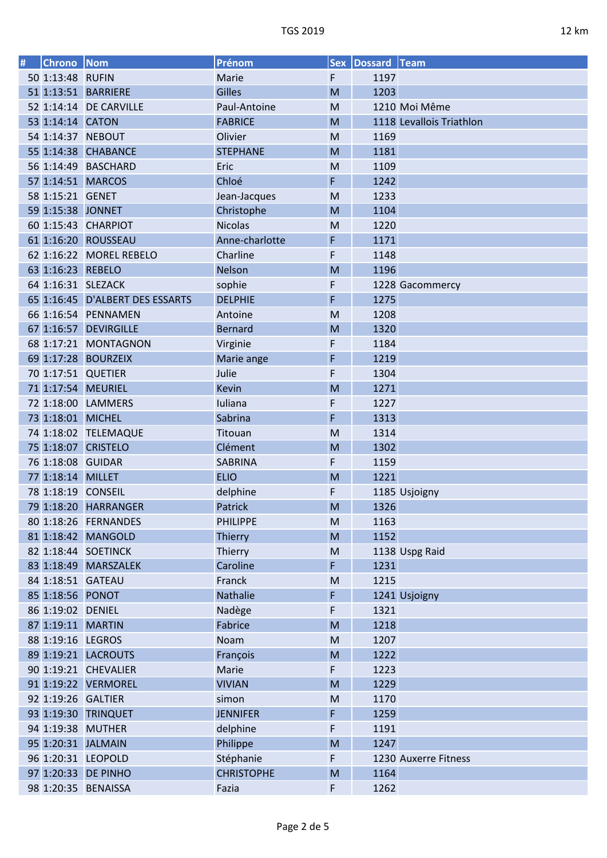| # | Chrono Nom        |                                 | Prénom            |           | Sex Dossard Team |                          |
|---|-------------------|---------------------------------|-------------------|-----------|------------------|--------------------------|
|   | 50 1:13:48 RUFIN  |                                 | Marie             | F         | 1197             |                          |
|   |                   | 51 1:13:51 BARRIERE             | Gilles            | M         | 1203             |                          |
|   |                   | 52 1:14:14 DE CARVILLE          | Paul-Antoine      | M         |                  | 1210 Moi Même            |
|   | 53 1:14:14 CATON  |                                 | <b>FABRICE</b>    | M         |                  | 1118 Levallois Triathlon |
|   |                   | 54 1:14:37 NEBOUT               | Olivier           | M         | 1169             |                          |
|   |                   | 55 1:14:38 CHABANCE             | <b>STEPHANE</b>   | M         | 1181             |                          |
|   |                   | 56 1:14:49 BASCHARD             | Eric              | M         | 1109             |                          |
|   |                   | 57 1:14:51 MARCOS               | Chloé             | F         | 1242             |                          |
|   | 58 1:15:21 GENET  |                                 | Jean-Jacques      | M         | 1233             |                          |
|   | 59 1:15:38 JONNET |                                 | Christophe        | M         | 1104             |                          |
|   |                   | 60 1:15:43 CHARPIOT             | <b>Nicolas</b>    | M         | 1220             |                          |
|   |                   | 61 1:16:20 ROUSSEAU             | Anne-charlotte    | F         | 1171             |                          |
|   |                   | 62 1:16:22 MOREL REBELO         | Charline          | F         | 1148             |                          |
|   | 63 1:16:23 REBELO |                                 | Nelson            | M         | 1196             |                          |
|   |                   | 64 1:16:31 SLEZACK              |                   |           |                  |                          |
|   |                   |                                 | sophie            | F         |                  | 1228 Gacommercy          |
|   |                   | 65 1:16:45 D'ALBERT DES ESSARTS | <b>DELPHIE</b>    | F         | 1275             |                          |
|   |                   | 66 1:16:54 PENNAMEN             | Antoine           | M         | 1208             |                          |
|   |                   | 67 1:16:57 DEVIRGILLE           | <b>Bernard</b>    | M         | 1320             |                          |
|   |                   | 68 1:17:21 MONTAGNON            | Virginie          | F         | 1184             |                          |
|   |                   | 69 1:17:28 BOURZEIX             | Marie ange        | F         | 1219             |                          |
|   |                   | 70 1:17:51 QUETIER              | Julie             | F         | 1304             |                          |
|   |                   | 71 1:17:54 MEURIEL              | <b>Kevin</b>      | M         | 1271             |                          |
|   |                   | 72 1:18:00 LAMMERS              | Iuliana           | F         | 1227             |                          |
|   | 73 1:18:01 MICHEL |                                 | Sabrina           | F         | 1313             |                          |
|   |                   | 74 1:18:02 TELEMAQUE            | Titouan           | M         | 1314             |                          |
|   |                   | 75 1:18:07 CRISTELO             | Clément           | M         | 1302             |                          |
|   | 76 1:18:08 GUIDAR |                                 | SABRINA           | F         | 1159             |                          |
|   | 77 1:18:14 MILLET |                                 | <b>ELIO</b>       | M         | 1221             |                          |
|   |                   | 78 1:18:19 CONSEIL              | delphine          | F         |                  | 1185 Usjoigny            |
|   |                   | 79 1:18:20 HARRANGER            | Patrick           | M         | 1326             |                          |
|   |                   | 80 1:18:26 FERNANDES            | <b>PHILIPPE</b>   | M         | 1163             |                          |
|   |                   | 81 1:18:42 MANGOLD              | Thierry           | M         | 1152             |                          |
|   |                   | 82 1:18:44 SOETINCK             | Thierry           | M         |                  | 1138 Uspg Raid           |
|   |                   | 83 1:18:49 MARSZALEK            | Caroline          | F         | 1231             |                          |
|   |                   | 84 1:18:51 GATEAU               | Franck            | ${\sf M}$ | 1215             |                          |
|   | 85 1:18:56 PONOT  |                                 | Nathalie          | F         |                  | 1241 Usjoigny            |
|   | 86 1:19:02 DENIEL |                                 | Nadège            | F         | 1321             |                          |
|   | 87 1:19:11 MARTIN |                                 | Fabrice           | M         | 1218             |                          |
|   | 88 1:19:16 LEGROS |                                 | Noam              | M         | 1207             |                          |
|   |                   | 89 1:19:21 LACROUTS             | François          | M         | 1222             |                          |
|   |                   | 90 1:19:21 CHEVALIER            | Marie             | F         | 1223             |                          |
|   |                   | 91 1:19:22 VERMOREL             | <b>VIVIAN</b>     | M         | 1229             |                          |
|   |                   | 92 1:19:26 GALTIER              | simon             | M         | 1170             |                          |
|   |                   | 93 1:19:30 TRINQUET             | <b>JENNIFER</b>   | F         | 1259             |                          |
|   |                   |                                 |                   |           |                  |                          |
|   |                   | 94 1:19:38 MUTHER               | delphine          | F         | 1191             |                          |
|   |                   | 95 1:20:31 JALMAIN              | Philippe          | M         | 1247             |                          |
|   |                   | 96 1:20:31 LEOPOLD              | Stéphanie         | F         |                  | 1230 Auxerre Fitness     |
|   |                   | 97 1:20:33 DE PINHO             | <b>CHRISTOPHE</b> | M         | 1164             |                          |
|   |                   | 98 1:20:35 BENAISSA             | Fazia             | F         | 1262             |                          |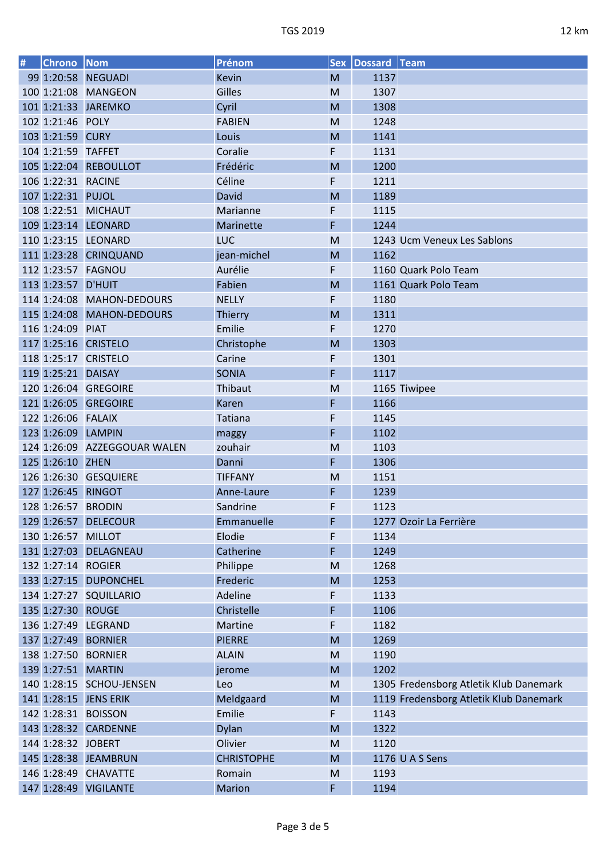| # | Chrono Nom          |                              | Prénom            |        | Sex Dossard Team |                                        |
|---|---------------------|------------------------------|-------------------|--------|------------------|----------------------------------------|
|   |                     | 99 1:20:58 NEGUADI           | Kevin             | M      | 1137             |                                        |
|   |                     | 100 1:21:08 MANGEON          | Gilles            | M      | 1307             |                                        |
|   |                     | 101 1:21:33 JAREMKO          | Cyril             | M      | 1308             |                                        |
|   | 102 1:21:46 POLY    |                              | <b>FABIEN</b>     | M      | 1248             |                                        |
|   | 103 1:21:59 CURY    |                              | Louis             | M      | 1141             |                                        |
|   | 104 1:21:59 TAFFET  |                              | Coralie           | F      | 1131             |                                        |
|   |                     | 105 1:22:04 REBOULLOT        | Frédéric          | M      | 1200             |                                        |
|   | 106 1:22:31 RACINE  |                              | Céline            | F      | 1211             |                                        |
|   | 107 1:22:31 PUJOL   |                              | David             | M      | 1189             |                                        |
|   |                     | 108 1:22:51 MICHAUT          | Marianne          | F      | 1115             |                                        |
|   |                     | 109 1:23:14 LEONARD          | Marinette         | F      | 1244             |                                        |
|   |                     | 110 1:23:15 LEONARD          | <b>LUC</b>        | M      |                  | 1243 Ucm Veneux Les Sablons            |
|   |                     | 111 1:23:28 CRINQUAND        | jean-michel       | M      | 1162             |                                        |
|   |                     | 112 1:23:57 FAGNOU           | Aurélie           | F      |                  | 1160 Quark Polo Team                   |
|   | 113 1:23:57 D'HUIT  |                              | Fabien            | M      |                  | 1161 Quark Polo Team                   |
|   |                     | 114 1:24:08 MAHON-DEDOURS    | <b>NELLY</b>      | F      | 1180             |                                        |
|   |                     | 115 1:24:08 MAHON-DEDOURS    | <b>Thierry</b>    | M      | 1311             |                                        |
|   | 116 1:24:09 PIAT    |                              | Emilie            | F      | 1270             |                                        |
|   |                     | 117 1:25:16 CRISTELO         | Christophe        | M      | 1303             |                                        |
|   |                     | 118 1:25:17 CRISTELO         | Carine            | F      | 1301             |                                        |
|   | 119 1:25:21 DAISAY  |                              | <b>SONIA</b>      | F      | 1117             |                                        |
|   |                     | 120 1:26:04 GREGOIRE         | Thibaut           | M      |                  | 1165 Tiwipee                           |
|   |                     | 121 1:26:05 GREGOIRE         | Karen             | F      | 1166             |                                        |
|   | 122 1:26:06  FALAIX |                              | Tatiana           | F      | 1145             |                                        |
|   | 123 1:26:09 LAMPIN  |                              | maggy             | F      | 1102             |                                        |
|   |                     | 124 1:26:09 AZZEGGOUAR WALEN | zouhair           | M      | 1103             |                                        |
|   | 125 1:26:10 ZHEN    |                              | Danni             | F      | 1306             |                                        |
|   |                     | 126 1:26:30 GESQUIERE        | <b>TIFFANY</b>    | M      | 1151             |                                        |
|   | 127 1:26:45 RINGOT  |                              | Anne-Laure        | F      | 1239             |                                        |
|   | 128 1:26:57 BRODIN  |                              | Sandrine          | F      | 1123             |                                        |
|   |                     | 129 1:26:57 DELECOUR         | Emmanuelle        | F      |                  | 1277 Ozoir La Ferrière                 |
|   | 130 1:26:57 MILLOT  |                              | Elodie            | F      | 1134             |                                        |
|   |                     | 131 1:27:03 DELAGNEAU        | Catherine         | F      | 1249             |                                        |
|   | 132 1:27:14 ROGIER  |                              | Philippe          | M      | 1268             |                                        |
|   |                     | 133 1:27:15 DUPONCHEL        | Frederic          | M      | 1253             |                                        |
|   |                     | 134 1:27:27 SQUILLARIO       | Adeline           | F      | 1133             |                                        |
|   | 135 1:27:30 ROUGE   |                              | Christelle        | F      | 1106             |                                        |
|   |                     | 136 1:27:49 LEGRAND          | Martine           | F      | 1182             |                                        |
|   |                     | 137 1:27:49 BORNIER          | <b>PIERRE</b>     | M      | 1269             |                                        |
|   |                     | 138 1:27:50 BORNIER          | <b>ALAIN</b>      | M      | 1190             |                                        |
|   |                     | 139 1:27:51 MARTIN           |                   | M      | 1202             |                                        |
|   |                     |                              | jerome            |        |                  | 1305 Fredensborg Atletik Klub Danemark |
|   |                     | 140 1:28:15 SCHOU-JENSEN     | Leo               | M<br>M |                  | 1119 Fredensborg Atletik Klub Danemark |
|   |                     | 141 1:28:15 JENS ERIK        | Meldgaard         |        |                  |                                        |
|   |                     | 142 1:28:31 BOISSON          | Emilie            | F      | 1143             |                                        |
|   |                     | 143 1:28:32 CARDENNE         | <b>Dylan</b>      | M      | 1322             |                                        |
|   | 144 1:28:32 JOBERT  |                              | Olivier           | M      | 1120             |                                        |
|   |                     | 145 1:28:38 JEAMBRUN         | <b>CHRISTOPHE</b> | M      |                  | 1176 U A S Sens                        |
|   |                     | 146 1:28:49 CHAVATTE         | Romain            | M      | 1193             |                                        |
|   |                     | 147 1:28:49 VIGILANTE        | Marion            | F      | 1194             |                                        |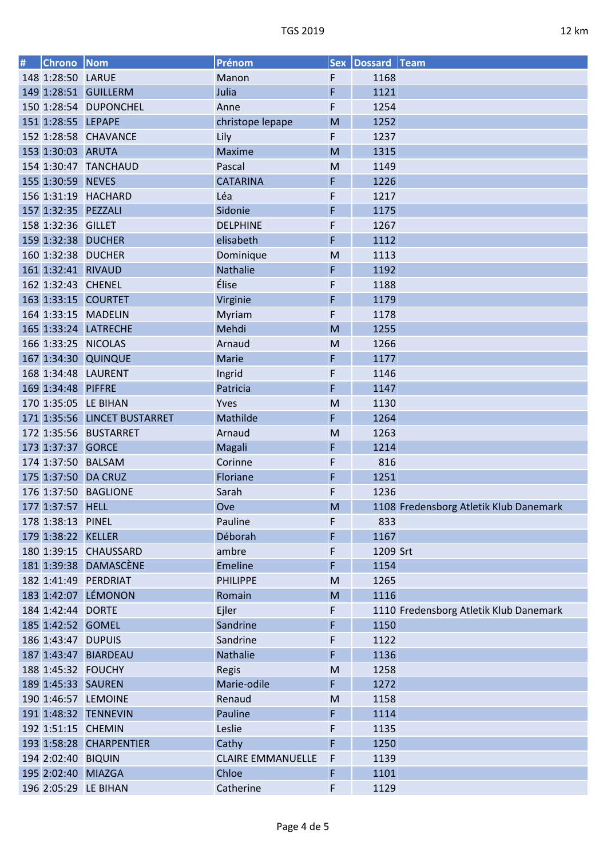| # | <b>Chrono</b> Nom   |                              | Prénom                   |   | Sex Dossard Team |                                        |
|---|---------------------|------------------------------|--------------------------|---|------------------|----------------------------------------|
|   | 148 1:28:50 LARUE   |                              | Manon                    | F | 1168             |                                        |
|   |                     | 149 1:28:51 GUILLERM         | Julia                    | F | 1121             |                                        |
|   |                     | 150 1:28:54 DUPONCHEL        | Anne                     | F | 1254             |                                        |
|   | 151 1:28:55 LEPAPE  |                              | christope lepape         | M | 1252             |                                        |
|   |                     | 152 1:28:58 CHAVANCE         | Lily                     | F | 1237             |                                        |
|   | 153 1:30:03 ARUTA   |                              | Maxime                   | M | 1315             |                                        |
|   |                     | 154 1:30:47 TANCHAUD         | Pascal                   | M | 1149             |                                        |
|   | 155 1:30:59 NEVES   |                              | <b>CATARINA</b>          | F | 1226             |                                        |
|   |                     | 156 1:31:19 HACHARD          | Léa                      | F | 1217             |                                        |
|   | 157 1:32:35 PEZZALI |                              | Sidonie                  | F | 1175             |                                        |
|   | 158 1:32:36 GILLET  |                              | <b>DELPHINE</b>          | F | 1267             |                                        |
|   | 159 1:32:38 DUCHER  |                              | elisabeth                | F | 1112             |                                        |
|   | 160 1:32:38 DUCHER  |                              | Dominique                | M | 1113             |                                        |
|   | 161 1:32:41 RIVAUD  |                              | Nathalie                 | F | 1192             |                                        |
|   | 162 1:32:43 CHENEL  |                              | Élise                    | F | 1188             |                                        |
|   |                     | 163 1:33:15 COURTET          | Virginie                 | F | 1179             |                                        |
|   |                     | 164 1:33:15 MADELIN          | Myriam                   | F | 1178             |                                        |
|   |                     | 165 1:33:24 LATRECHE         | Mehdi                    | M | 1255             |                                        |
|   |                     | 166 1:33:25 NICOLAS          | Arnaud                   | M | 1266             |                                        |
|   |                     | 167 1:34:30 QUINQUE          | Marie                    | F | 1177             |                                        |
|   |                     | 168 1:34:48 LAURENT          | Ingrid                   | F | 1146             |                                        |
|   | 169 1:34:48 PIFFRE  |                              | Patricia                 | F | 1147             |                                        |
|   |                     | 170 1:35:05 LE BIHAN         | Yves                     | M | 1130             |                                        |
|   |                     | 171 1:35:56 LINCET BUSTARRET | Mathilde                 | F | 1264             |                                        |
|   |                     | 172 1:35:56 BUSTARRET        | Arnaud                   | M | 1263             |                                        |
|   | 173 1:37:37 GORCE   |                              | Magali                   | F | 1214             |                                        |
|   | 174 1:37:50 BALSAM  |                              | Corinne                  | F | 816              |                                        |
|   |                     | 175 1:37:50 DA CRUZ          | Floriane                 | F | 1251             |                                        |
|   |                     | 176 1:37:50 BAGLIONE         | Sarah                    | F | 1236             |                                        |
|   | 177 1:37:57 HELL    |                              | Ove                      | M |                  |                                        |
|   | 178 1:38:13 PINEL   |                              | Pauline                  | F | 833              | 1108 Fredensborg Atletik Klub Danemark |
|   |                     |                              | Déborah                  |   | 1167             |                                        |
|   | 179 1:38:22 KELLER  |                              |                          | F |                  |                                        |
|   |                     | 180 1:39:15 CHAUSSARD        | ambre                    | F | 1209 Srt         |                                        |
|   |                     | 181 1:39:38 DAMASCÈNE        | <b>Emeline</b>           | F | 1154             |                                        |
|   |                     | 182 1:41:49 PERDRIAT         | <b>PHILIPPE</b>          | M | 1265             |                                        |
|   |                     | 183 1:42:07 LÉMONON          | Romain                   | M | 1116             |                                        |
|   | 184 1:42:44 DORTE   |                              | Ejler                    | F |                  | 1110 Fredensborg Atletik Klub Danemark |
|   | 185 1:42:52 GOMEL   |                              | Sandrine                 | F | 1150             |                                        |
|   | 186 1:43:47 DUPUIS  |                              | Sandrine                 | F | 1122             |                                        |
|   |                     | 187 1:43:47 BIARDEAU         | Nathalie                 | F | 1136             |                                        |
|   | 188 1:45:32 FOUCHY  |                              | Regis                    | M | 1258             |                                        |
|   | 189 1:45:33 SAUREN  |                              | Marie-odile              | F | 1272             |                                        |
|   |                     | 190 1:46:57 LEMOINE          | Renaud                   | M | 1158             |                                        |
|   |                     | 191 1:48:32 TENNEVIN         | Pauline                  | F | 1114             |                                        |
|   | 192 1:51:15 CHEMIN  |                              | Leslie                   | F | 1135             |                                        |
|   |                     | 193 1:58:28 CHARPENTIER      | Cathy                    | F | 1250             |                                        |
|   | 194 2:02:40 BIQUIN  |                              | <b>CLAIRE EMMANUELLE</b> | F | 1139             |                                        |
|   | 195 2:02:40 MIAZGA  |                              | Chloe                    | F | 1101             |                                        |
|   |                     | 196 2:05:29 LE BIHAN         | Catherine                | F | 1129             |                                        |